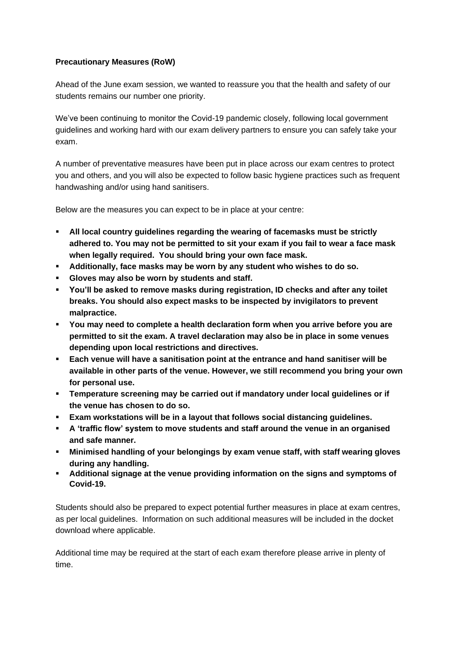## **Precautionary Measures (RoW)**

Ahead of the June exam session, we wanted to reassure you that the health and safety of our students remains our number one priority.

We've been continuing to monitor the Covid-19 pandemic closely, following local government guidelines and working hard with our exam delivery partners to ensure you can safely take your exam.

A number of preventative measures have been put in place across our exam centres to protect you and others, and you will also be expected to follow basic hygiene practices such as frequent handwashing and/or using hand sanitisers.

Below are the measures you can expect to be in place at your centre:

- **All local country guidelines regarding the wearing of facemasks must be strictly adhered to. You may not be permitted to sit your exam if you fail to wear a face mask when legally required. You should bring your own face mask.**
- **Additionally, face masks may be worn by any student who wishes to do so.**
- **Gloves may also be worn by students and staff.**
- **You'll be asked to remove masks during registration, ID checks and after any toilet breaks. You should also expect masks to be inspected by invigilators to prevent malpractice.**
- **You may need to complete a health declaration form when you arrive before you are permitted to sit the exam. A travel declaration may also be in place in some venues depending upon local restrictions and directives.**
- **Each venue will have a sanitisation point at the entrance and hand sanitiser will be available in other parts of the venue. However, we still recommend you bring your own for personal use.**
- **Temperature screening may be carried out if mandatory under local guidelines or if the venue has chosen to do so.**
- **Exam workstations will be in a layout that follows social distancing guidelines.**
- **A 'traffic flow' system to move students and staff around the venue in an organised and safe manner.**
- **Minimised handling of your belongings by exam venue staff, with staff wearing gloves during any handling.**
- **Additional signage at the venue providing information on the signs and symptoms of Covid-19.**

Students should also be prepared to expect potential further measures in place at exam centres, as per local guidelines. Information on such additional measures will be included in the docket download where applicable.

Additional time may be required at the start of each exam therefore please arrive in plenty of time.